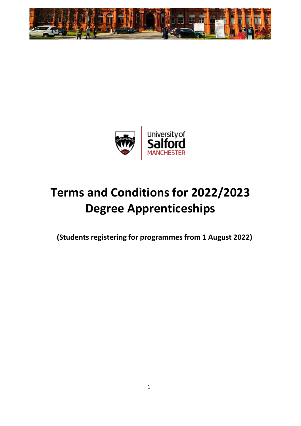



# **Terms and Conditions for 2022/2023 Degree Apprenticeships**

**(Students registering for programmes from 1 August 2022)**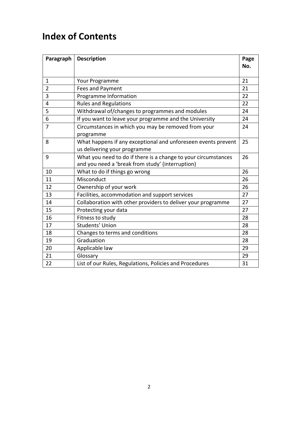## **Index of Contents**

| Paragraph      | <b>Description</b>                                             | Page<br>No. |
|----------------|----------------------------------------------------------------|-------------|
|                |                                                                |             |
| $\mathbf{1}$   | Your Programme                                                 | 21          |
| $\overline{2}$ | Fees and Payment                                               | 21          |
| 3              | Programme Information                                          | 22          |
| 4              | <b>Rules and Regulations</b>                                   | 22          |
| 5              | Withdrawal of/changes to programmes and modules                | 24          |
| 6              | If you want to leave your programme and the University         | 24          |
| 7              | Circumstances in which you may be removed from your            | 24          |
|                | programme                                                      |             |
| 8              | What happens if any exceptional and unforeseen events prevent  | 25          |
|                | us delivering your programme                                   |             |
| 9              | What you need to do if there is a change to your circumstances | 26          |
|                | and you need a 'break from study' (interruption)               |             |
| 10             | What to do if things go wrong                                  | 26          |
| 11             | Misconduct                                                     | 26          |
| 12             | Ownership of your work                                         | 26          |
| 13             | Facilities, accommodation and support services                 | 27          |
| 14             | Collaboration with other providers to deliver your programme   | 27          |
| 15             | Protecting your data                                           | 27          |
| 16             | Fitness to study                                               | 28          |
| 17             | Students' Union                                                | 28          |
| 18             | Changes to terms and conditions                                | 28          |
| 19             | Graduation                                                     | 28          |
| 20             | Applicable law                                                 | 29          |
| 21             | Glossary                                                       | 29          |
| 22             | List of our Rules, Regulations, Policies and Procedures        | 31          |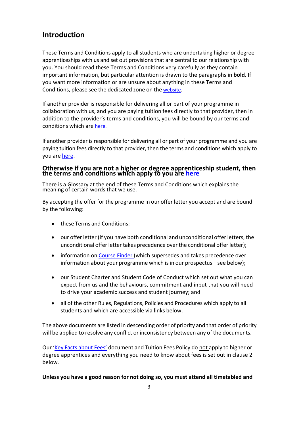#### **Introduction**

These Terms and Conditions apply to all students who are undertaking higher or degree apprenticeships with us and set out provisions that are central to our relationship with you. You should read these Terms and Conditions very carefully as they contain important information, but particular attention is drawn to the paragraphs in **bold**. If you want more information or are unsure about anything in these Terms and Conditions, please see the dedicated zone on the [website.](https://beta.salford.ac.uk/student-terms-and-conditions)

If another provider is responsible for delivering all or part of your programme in collaboration with us, and you are paying tuition fees directly to that provider, then in addition to the provider's terms and conditions, you will be bound by our terms and conditions which are [here.](https://beta.salford.ac.uk/student-terms-and-conditions)

If another provider is responsible for delivering all or part of your programme and you are paying tuition fees directly to that provider, then the terms and conditions which apply to you are [here.](https://beta.salford.ac.uk/student-terms-and-conditions)

#### **Otherwise if you are not a higher or degree apprenticeship student, then the terms and conditions which apply to you are [here](https://beta.salford.ac.uk/student-terms-and-conditions)**

There is a Glossary at the end of these Terms and Conditions which explains the meaning of certain words that we use.

By accepting the offer for the programme in our offer letter you accept and are bound by the following:

- these Terms and Conditions;
- our offer letter (if you have both conditional and unconditional offer letters, the unconditional offer letter takes precedence over the conditional offer letter);
- information on [Course Finder \(](http://www.salford.ac.uk/study/a-to-z)which supersedes and takes precedence over information about your programme which is in our prospectus – see below);
- our Student Charter and Student Code of Conduct which set out what you can expect from us and the behaviours, commitment and input that you will need to drive your academic success and student journey; and
- all of the other Rules, Regulations, Policies and Procedures which apply to all students and which are accessible via links below.

The above documents are listed in descending order of priority and that order of priority will be applied to resolve any conflict or inconsistency between any of the documents.

Our 'Key Facts [about](https://beta.salford.ac.uk/student-terms-and-conditions) Fees' document and Tuition Fees Policy do not apply to higher or degree apprentices and everything you need to know about fees is set out in clause 2 below.

#### **Unless you have a good reason for not doing so, you must attend all timetabled and**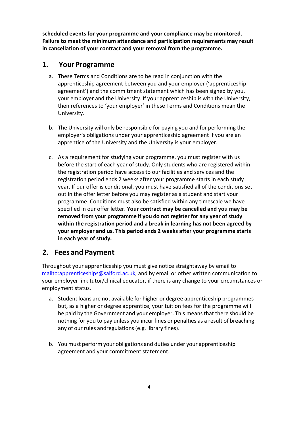**scheduled events for your programme and your compliance may be monitored. Failure to meet the minimum attendance and participation requirements may result in cancellation of your contract and your removal from the programme.**

#### **1. Your Programme**

- a. These Terms and Conditions are to be read in conjunction with the apprenticeship agreement between you and your employer ('apprenticeship agreement') and the commitment statement which has been signed by you, your employer and the University. If your apprenticeship is with the University, then references to 'your employer' in these Terms and Conditions mean the University.
- b. The University will only be responsible for paying you and for performing the employer's obligations under your apprenticeship agreement if you are an apprentice of the University and the University is your employer.
- c. As a requirement for studying your programme, you must register with us before the start of each year of study. Only students who are registered within the registration period have access to our facilities and services and the registration period ends 2 weeks after your programme starts in each study year. If our offer is conditional, you must have satisfied all of the conditions set out in the offer letter before you may register as a student and start your programme. Conditions must also be satisfied within any timescale we have specified in our offer letter. **Your contract may be cancelled and you may be removed from your programme if you do not register for any year of study within the registration period and a break in learning has not been agreed by your employer and us. This period ends 2 weeks after your programme starts in each year of study.**

#### **2. Fees and Payment**

Throughout your apprenticeship you must give notice straightaway by email to [mailto:apprenticeships@salford.ac.uk,](mailto:apprenticeships@salford.ac.uk) and by email or other written communication to your employer link tutor/clinical educator, if there is any change to your circumstances or employment status.

- a. Student loans are not available for higher or degree apprenticeship programmes but, as a higher or degree apprentice, your tuition fees for the programme will be paid by the Government and your employer. This meansthat there should be nothing for you to pay unless you incur fines or penalties as a result of breaching any of our rules andregulations(e.g. library fines).
- b. You must perform your obligations and duties under your apprenticeship agreement and your commitment statement.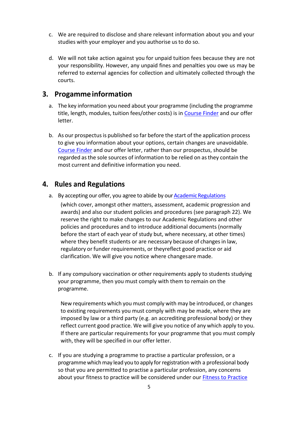- c. We are required to disclose and share relevant information about you and your studies with your employer and you authorise us to do so.
- d. We will not take action against you for unpaid tuition fees because they are not your responsibility. However, any unpaid fines and penalties you owe us may be referred to external agencies for collection and ultimately collected through the courts.

#### **3. Progammeinformation**

- a. The key information you need about your programme (including the programme title, length, modules, tuition fees/other costs) is in [Course Finder](http://www.salford.ac.uk/study/a-to-z) and our offer letter.
- b. As our prospectusis published so far before the start of the application process to give you information about your options, certain changes are unavoidable. [Course Finder](http://www.salford.ac.uk/study/a-to-z) and our offer letter, rather than our prospectus, should be regarded asthe sole sources of information to be relied on asthey contain the most current and definitive information you need.

#### **4. Rules and Regulations**

a. By accepting our offer, you agree to abide by our Academic Regulations

(which cover, amongst other matters, assessment, academic progression and awards) and also our student policies and procedures (see paragraph 22). We reserve the right to make changes to our Academic Regulations and other policies and procedures and to introduce additional documents (normally before the start of each year of study but, where necessary, at other times) where they benefit students or are necessary because of changes in law, regulatory or funder requirements, or theyreflect good practice or aid clarification. We will give you notice where changes are made.

b. If any compulsory vaccination or other requirements apply to students studying your programme, then you must comply with them to remain on the programme.

New requirements which you must comply with may be introduced, or changes to existing requirements you must comply with may be made, where they are imposed by law or a third party (e.g. an accrediting professional body) or they reflect current good practice. We will give you notice of any which apply to you. If there are particular requirements for your programme that you must comply with, they will be specified in our offer letter.

c. If you are studying a programme to practise a particular profession, or a programme which may lead you to apply for registration with a professional body so that you are permitted to practise a particular profession, any concerns about your fitness to practice will be considered under our **[Fitness to Practice](https://beta.salford.ac.uk/student-terms-and-conditions)**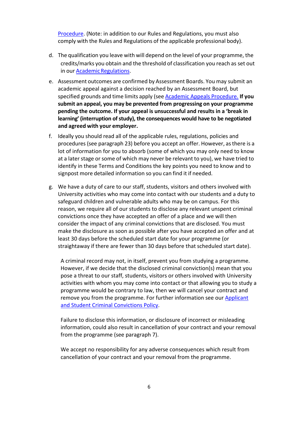[Procedure.](https://beta.salford.ac.uk/student-terms-and-conditions) (Note: in addition to our Rules and Regulations, you must also comply with the Rules and Regulations of the applicable professional body).

- d. The qualification you leave with will depend on the level of your programme, the credits/marks you obtain and the threshold of classification you reach as set out in our Academic Regulations.
- e. Assessment outcomes are confirmed by Assessment Boards. You may submit an academic appeal against a decision reached by an Assessment Board, but specified grounds and time limits apply (see Academic Appeals [Procedure.](https://beta.salford.ac.uk/student-terms-and-conditions) **If you submit an appeal, you may be prevented from progressing on your programme pending the outcome. If your appeal is unsuccessful and results in a 'break in learning' (interruption of study), the consequences would have to be negotiated and agreed with your employer.**
- f. Ideally you should read all of the applicable rules, regulations, policies and procedures (see paragraph 23) before you accept an offer. However, asthere is a lot of information for you to absorb (some of which you may only need to know at a later stage or some of which may never be relevant to you), we have tried to identify in these Terms and Conditions the key points you need to know and to signpost more detailed information so you can find it if needed.
- g. We have a duty of care to our staff, students, visitors and others involved with University activities who may come into contact with our students and a duty to safeguard children and vulnerable adults who may be on campus. For this reason, we require all of our students to disclose any relevant unspent criminal convictions once they have accepted an offer of a place and we will then consider the impact of any criminal convictions that are disclosed. You must make the disclosure as soon as possible after you have accepted an offer and at least 30 days before the scheduled start date for your programme (or straightaway if there are fewer than 30 days before that scheduled start date).

A criminal record may not, in itself, prevent you from studying a programme. However, if we decide that the disclosed criminal conviction(s) mean that you pose a threat to our staff, students, visitors or others involved with University activities with whom you may come into contact or that allowing you to study a programme would be contrary to law, then we will cancel your contract and remove you from the programme. For further information see our [Applicant](https://beta.salford.ac.uk/student-terms-and-conditions) and Student [Criminal Convictions](https://beta.salford.ac.uk/student-terms-and-conditions) Policy.

Failure to disclose this information, or disclosure of incorrect or misleading information, could also result in cancellation of your contract and your removal from the programme (see paragraph 7).

We accept no responsibility for any adverse consequences which result from cancellation of your contract and your removal from the programme.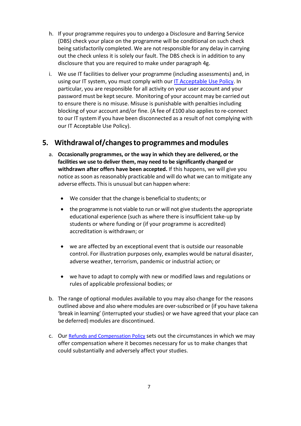- h. If your programme requires you to undergo a Disclosure and Barring Service (DBS) check your place on the programme will be conditional on such check being satisfactorily completed. We are not responsible for any delay in carrying out the check unless it is solely our fault. The DBS check is in addition to any disclosure that you are required to make under paragraph 4g.
- i. We use IT facilities to deliver your programme (including assessments) and, in using our IT system, you must comply with our [IT Acceptable Use Policy.](https://beta.salford.ac.uk/student-terms-and-conditions) In particular, you are responsible for all activity on your user account and your password must be kept secure. Monitoring of your account may be carried out to ensure there is no misuse. Misuse is punishable with penalties including blocking of your account and/or fine. (A fee of £100 also appliesto re-connect to our IT system if you have been disconnected as a result of not complying with our IT Acceptable Use Policy).

#### **5. Withdrawal of/changesto programmes andmodules**

- a. **Occasionally programmes, or the way in which they are delivered, or the facilities we use to deliver them, may need to be significantly changed or withdrawn after offers have been accepted.** If this happens, we will give you notice as soon as reasonably practicable and will do what we can to mitigate any adverse effects. This is unusual but can happen where:
	- We consider that the change is beneficial to students; or
	- the programme is not viable to run or will not give students the appropriate educational experience (such as where there is insufficient take-up by students or where funding or (if your programme is accredited) accreditation is withdrawn; or
	- we are affected by an exceptional event that is outside our reasonable control. For illustration purposes only, examples would be natural disaster, adverse weather, terrorism, pandemic or industrial action; or
	- we have to adapt to comply with new or modified laws and regulations or rules of applicable professional bodies; or
- b. The range of optional modules available to you may also change for the reasons outlined above and also where modules are over-subscribed or (if you have takena 'break in learning' (interrupted your studies) or we have agreed that your place can be deferred) modules are discontinued.
- c. Our [Refunds and Compensation Policy](https://beta.salford.ac.uk/student-terms-and-conditions) sets out the circumstances in which we may offer compensation where it becomes necessary for us to make changes that could substantially and adversely affect your studies.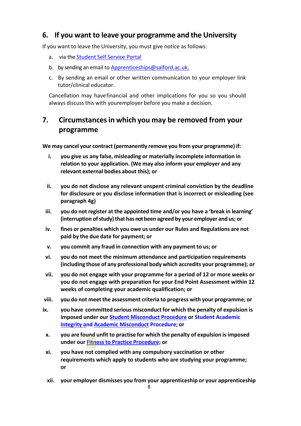#### **6. If you want to leave your programme and the University**

If you want to leave the University, you must give notice as follows:

- a. via the [Student](https://beta.salford.ac.uk/student-terms-and-conditions) Self Service [Portal](http://www.salford.ac.uk/students/self-service-for-students)
- b. by sending an email to Apprenticeships@salford.ac.uk.
- c. By sending an email or other written communication to your employer link tutor/clinical educator.

Cancellation may havefinancial and other implications for you so you should always discussthis with youremployer before you make a decision.

#### **7. Circumstancesin which you may be removed from your programme**

**We may cancel your contract (permanently remove you from your programme) if:**

- **i. you give us any false, misleading or materially incomplete information in relation to your application. (We may also inform your employer and any relevant external bodies about this); or**
- **ii. you do not disclose any relevant unspent criminal conviction by the deadline for disclosure or you disclose information that is incorrect or misleading (see paragraph 4g)**
- **iii. you do not register at the appointed time and/or you have a 'break in learning' (interruption ofstudy)that has not been agreed by your employer and us; or**
- **iv. fines or penalties which you owe us under our Rules and Regulations are not paid by the due date for payment; or**
- **v. you commit any fraud in connection with any payment to us; or**
- **vi. you do not meet the minimum attendance and participation requirements (including those of any professional body which accredits your programme); or**
- **vii. you do not engage with your programme for a period of 12 or more weeks or you do not engage with preparation for your End Point Assessment within 12 weeks of completing your academic qualification; or**
- **viii. you do not meetthe assessment criteria to progress with your programme; or**
- **ix. you have committed serious misconductfor which the penalty of expulsion is imposed under our [Student Misconduct Procedure](https://beta.salford.ac.uk/student-terms-and-conditions) or Student Academic Integrity and [Academic Misconduct](https://beta.salford.ac.uk/student-terms-and-conditions) [Procedure;](https://beta.salford.ac.uk/student-terms-and-conditions) or**
	- **x. you are found unfit to practise for which the penalty of expulsion is imposed under our Fitnessto Practice [Procedure;](https://beta.salford.ac.uk/student-terms-and-conditions) or**
	- **xi. you have not complied with any compulsory vaccination or other requirements which apply to students who are studying your programme; or**
	- **xii. your employer dismisses you from your apprenticeship or your apprenticeship**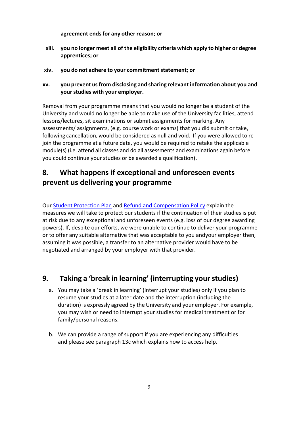**agreement ends for any other reason; or**

- **xiii. you no longer meet all of the eligibility criteria which apply to higher or degree apprentices; or**
- **xiv. you do not adhere to your commitmentstatement; or**
- **xv. you prevent usfrom disclosing and sharing relevant information about you and yourstudies with your employer.**

Removal from your programme means that you would no longer be a student of the University and would no longer be able to make use of the University facilities, attend lessons/lectures, sit examinations or submit assignments for marking. Any assessments/ assignments, (e.g. course work or exams) that you did submit or take, following cancellation, would be considered as null and void. If you were allowed to rejoin the programme at a future date, you would be required to retake the applicable module(s) (i.e. attend all classes and do all assessments and examinations again before you could continue your studies or be awarded a qualification).

## **8. What happens if exceptional and unforeseen events prevent us delivering your programme**

Our [Student Protection Plan](https://beta.salford.ac.uk/student-terms-and-conditions) and [Refund and Compensation Policy](https://beta.salford.ac.uk/student-terms-and-conditions) explain the measures we will take to protect our students if the continuation of their studies is put at risk due to any exceptional and unforeseen events (e.g. loss of our degree awarding powers). If, despite our efforts, we were unable to continue to deliver your programme or to offer any suitable alternative that was acceptable to you andyour employer then, assuming it was possible, a transfer to an alternative provider would have to be negotiated and arranged by your employer with that provider.

#### **9. Taking a 'break in learning' (interrupting yourstudies)**

- a. You may take a 'break in learning' (interrupt your studies) only if you plan to resume your studies at a later date and the interruption (including the duration) is expressly agreed by the University and your employer. For example, you may wish or need to interrupt your studies for medical treatment or for family/personal reasons.
- b. We can provide a range of support if you are experiencing any difficulties and please see paragraph 13c which explains how to access help.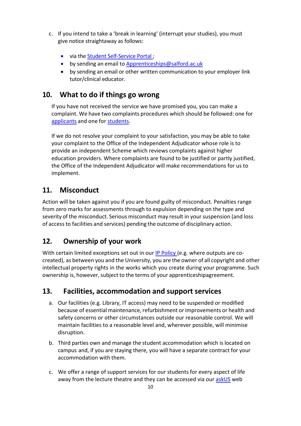- c. If you intend to take a 'break in learning' (interrupt your studies), you must give notice straightaway as follows:
	- via the [Student Self-Service Portal ;](https://www.salford.ac.uk/askus)
	- by sending an email to [Apprenticeships@salford.ac.uk](mailto:Apprenticeships@salford.ac.uk)
	- by sending an email or other written communication to your employer link tutor/clinical educator.

#### **10. What to do if things go wrong**

If you have not received the service we have promised you, you can make a complaint. We have two complaints procedures which should be followed: one for [applicants](https://beta.salford.ac.uk/student-terms-and-conditions) and one fo[r students.](https://beta.salford.ac.uk/student-terms-and-conditions)

If we do not resolve your complaint to your satisfaction, you may be able to take your complaint to the Office of the Independent Adjudicator whose role is to provide an independent Scheme which reviews complaints against higher education providers. Where complaints are found to be justified or partly justified, the Office of the Independent Adjudicator will make recommendations for us to implement.

#### **11. Misconduct**

Action will be taken against you if you are found guilty of misconduct. Penalties range from zero marks for assessments through to expulsion depending on the type and severity of the misconduct. Serious misconduct may result in your suspension (and loss of accessto facilities and services) pending the outcome of disciplinary action.

#### **12. Ownership of your work**

With certain limited exceptions set out in our [IP Policy \(](https://beta.salford.ac.uk/student-terms-and-conditions)e.g. where outputs are cocreated), as between you and the University, you are the owner of all copyright and other intellectual property rights in the works which you create during your programme. Such ownership is, however, subject to the terms of your apprenticeshipagreement.

#### **13. Facilities, accommodation and support services**

- a. Our facilities (e.g. Library, IT access) may need to be suspended or modified because of essential maintenance, refurbishment orimprovements or health and safety concerns or other circumstances outside our reasonable control. We will maintain facilities to a reasonable level and, wherever possible, will minimise disruption.
- b. Third parties own and manage the student accommodation which is located on campus and, if you are staying there, you will have a separate contract for your accommodation with them.
- c. We offer a range of support services for our students for every aspect of life away from the lecture theatre and they can be accessed via our [askUS](https://www.salford.ac.uk/askus) web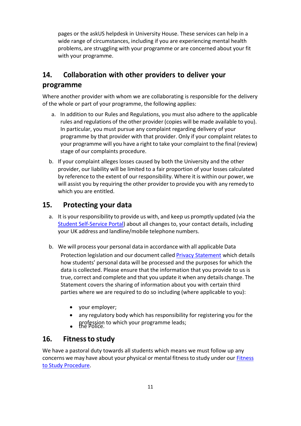pages or the askUS helpdesk in University House. These services can help in a wide range of circumstances, including if you are experiencing mental health problems, are struggling with your programme or are concerned about your fit with your programme.

#### **14. Collaboration with other providers to deliver your programme**

Where another provider with whom we are collaborating is responsible for the delivery of the whole or part of your programme, the following applies:

- a. In addition to our Rules and Regulations, you must also adhere to the applicable rules and regulations of the other provider (copies will be made available to you). In particular, you must pursue any complaint regarding delivery of your programme by that provider with that provider. Only if your complaint relates to your programme will you have a right to take your complaint to the final (review) stage of our complaints procedure.
- b. If your complaint alleges losses caused by both the University and the other provider, our liability will be limited to a fair proportion of your losses calculated by reference to the extent of our responsibility. Where it is within our power, we will assist you by requiring the other provider to provide you with any remedy to which you are entitled.

#### **15. Protecting your data**

- a. It is your responsibility to provide us with, and keep us promptly updated (via the [Student Self-Service Portal\)](https://www.salford.ac.uk/askus) about all changes to, your contact details, including your UK address and landline/mobile telephone numbers.
- b. We will process your personal data in accordance with all applicable Data Protection legislation and our document called Privacy [Statement](https://beta.salford.ac.uk/privacy/privacy-notice-students) which details how students' personal data will be processed and the purposes for which the data is collected. Please ensure that the information that you provide to us is true, correct and complete and that you update it when any details change. The Statement covers the sharing of information about you with certain third parties where we are required to do so including (where applicable to you):
	- your employer;
	- any regulatory body which has responsibility for registering you for the
	- profession to which your programme leads;<br>the Police. •

#### **16. Fitnessto study**

We have a pastoral duty towards all students which means we must follow up any concerns we may have about your physical or mental fitness to study under our **[Fitness](https://beta.salford.ac.uk/student-terms-and-conditions)** to [Study](https://beta.salford.ac.uk/student-terms-and-conditions) [Procedure.](http://www.salford.ac.uk/__data/assets/pdf_file/0009/653688/FitnessToStudyProcedure.pdf)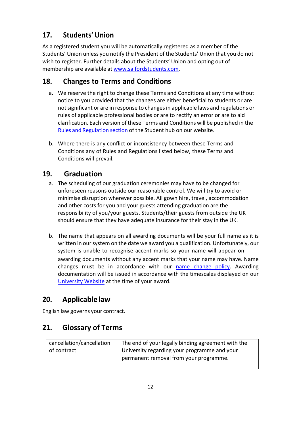## **17. Students' Union**

As a registered student you will be automatically registered as a member of the Students' Union unless you notify the President of the Students' Union that you do not wish to register. Further details about the Students' Union and opting out of membership are available at [www.salfordstudents.com.](http://www.salfordstudents.com/)

## **18. Changes to Terms and Conditions**

- a. We reserve the right to change these Terms and Conditions at any time without notice to you provided that the changes are either beneficial to students or are not significant or are in response to changes in applicable laws and regulations or rules of applicable professional bodies or are to rectify an error or are to aid clarification. Each version of these Terms and Conditions will be published in the Rules and [Regulation](https://beta.salford.ac.uk/student-terms-and-conditions) section of the Student hub on our website.
- b. Where there is any conflict or inconsistency between these Terms and Conditions any of Rules and Regulations listed below, these Terms and Conditions will prevail.

## **19. Graduation**

- a. The scheduling of our graduation ceremonies may have to be changed for unforeseen reasons outside our reasonable control. We will try to avoid or minimise disruption wherever possible. All gown hire, travel, accommodation and other costs for you and your guests attending graduation are the responsibility of you/your guests. Students/their guests from outside the UK should ensure that they have adequate insurance for their stay in the UK.
- b. The name that appears on all awarding documents will be your full name as it is written in our system on the date we award you a qualification. Unfortunately, our system is unable to recognise accent marks so your name will appear on awarding documents without any accent marks that your name may have. Name changes must be in accordance with our name [change](https://beta.salford.ac.uk/student-terms-and-conditions) policy. Awarding documentation will be issued in accordance with the timescales displayed on our [University](https://beta.salford.ac.uk/student-terms-and-conditions) Website at the time of your award.

## **20. Applicablelaw**

English law governs your contract.

## **21. Glossary of Terms**

| cancellation/cancellation | The end of your legally binding agreement with the |
|---------------------------|----------------------------------------------------|
| of contract               | University regarding your programme and your       |
|                           | permanent removal from your programme.             |
|                           |                                                    |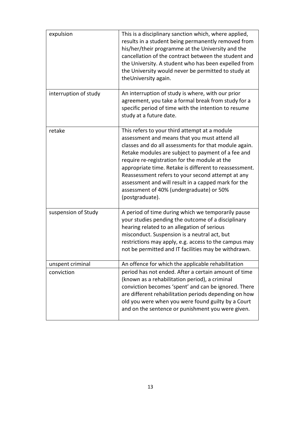| expulsion             | This is a disciplinary sanction which, where applied,<br>results in a student being permanently removed from<br>his/her/their programme at the University and the<br>cancellation of the contract between the student and<br>the University. A student who has been expelled from<br>the University would never be permitted to study at<br>the University again.                                                                                                                                   |
|-----------------------|-----------------------------------------------------------------------------------------------------------------------------------------------------------------------------------------------------------------------------------------------------------------------------------------------------------------------------------------------------------------------------------------------------------------------------------------------------------------------------------------------------|
| interruption of study | An interruption of study is where, with our prior<br>agreement, you take a formal break from study for a<br>specific period of time with the intention to resume<br>study at a future date.                                                                                                                                                                                                                                                                                                         |
| retake                | This refers to your third attempt at a module<br>assessment and means that you must attend all<br>classes and do all assessments for that module again.<br>Retake modules are subject to payment of a fee and<br>require re-registration for the module at the<br>appropriate time. Retake is different to reassessment.<br>Reassessment refers to your second attempt at any<br>assessment and will result in a capped mark for the<br>assessment of 40% (undergraduate) or 50%<br>(postgraduate). |
| suspension of Study   | A period of time during which we temporarily pause<br>your studies pending the outcome of a disciplinary<br>hearing related to an allegation of serious<br>misconduct. Suspension is a neutral act, but<br>restrictions may apply, e.g. access to the campus may<br>not be permitted and IT facilities may be withdrawn.                                                                                                                                                                            |
| unspent criminal      | An offence for which the applicable rehabilitation                                                                                                                                                                                                                                                                                                                                                                                                                                                  |
| conviction            | period has not ended. After a certain amount of time<br>(known as a rehabilitation period), a criminal<br>conviction becomes 'spent' and can be ignored. There<br>are different rehabilitation periods depending on how<br>old you were when you were found guilty by a Court<br>and on the sentence or punishment you were given.                                                                                                                                                                  |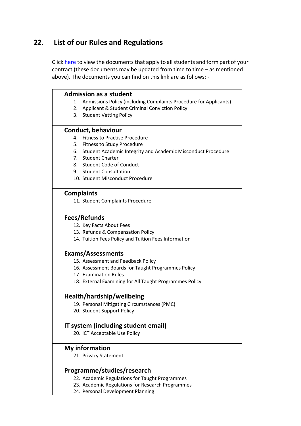## **22. List of our Rules and Regulations**

Click [here](https://beta.salford.ac.uk/student-terms-and-conditions) to view the documents that apply to all students and form part of your contract (these documents may be updated from time to time - as mentioned above). The documents you can find on this link are as follows: -

| <b>Admission as a student</b>                                           |
|-------------------------------------------------------------------------|
| Admissions Policy (including Complaints Procedure for Applicants)<br>1. |
| Applicant & Student Criminal Conviction Policy<br>2.                    |
| 3. Student Vetting Policy                                               |
|                                                                         |
| <b>Conduct, behaviour</b>                                               |
| <b>Fitness to Practise Procedure</b><br>4.                              |
| 5. Fitness to Study Procedure                                           |
| 6. Student Academic Integrity and Academic Misconduct Procedure         |
| 7. Student Charter                                                      |
| 8. Student Code of Conduct                                              |
| 9. Student Consultation                                                 |
| 10. Student Misconduct Procedure                                        |
|                                                                         |
| <b>Complaints</b>                                                       |
| 11. Student Complaints Procedure                                        |
|                                                                         |
| Fees/Refunds                                                            |
| 12. Key Facts About Fees                                                |
| 13. Refunds & Compensation Policy                                       |
| 14. Tuition Fees Policy and Tuition Fees Information                    |
|                                                                         |
| <b>Exams/Assessments</b>                                                |
| 15. Assessment and Feedback Policy                                      |
| 16. Assessment Boards for Taught Programmes Policy                      |
| 17. Examination Rules                                                   |
| 18. External Examining for All Taught Programmes Policy                 |
|                                                                         |
| Health/hardship/wellbeing                                               |
| 19. Personal Mitigating Circumstances (PMC)                             |
| 20. Student Support Policy                                              |
|                                                                         |
| IT system (including student email)                                     |
| 20. ICT Acceptable Use Policy                                           |
| <b>My information</b>                                                   |
|                                                                         |
| 21. Privacy Statement                                                   |
| Programme/studies/research                                              |
| 22. Academic Regulations for Taught Programmes                          |
| 23. Academic Regulations for Research Programmes                        |
| 24. Personal Development Planning                                       |
|                                                                         |